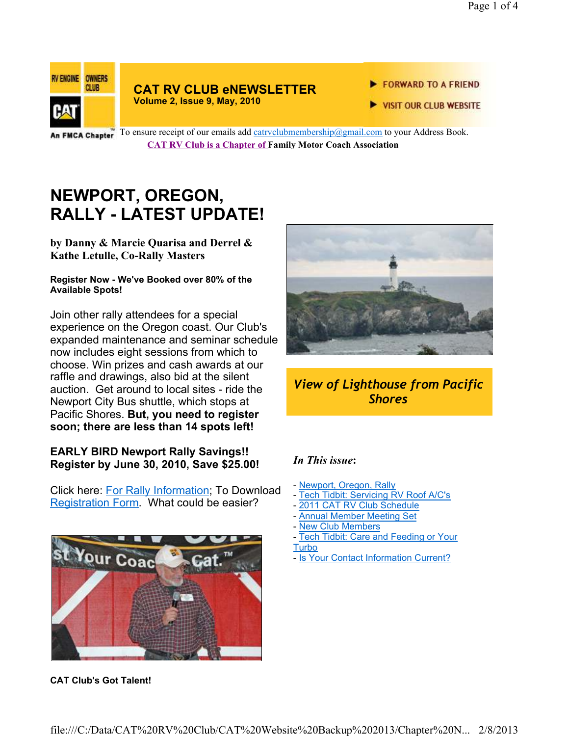

#### **CAT RV CLUB eNEWSLETTER Volume 2, Issue 9, May, 2010**

#### FORWARD TO A FRIEND

VISIT OUR CLUB WEBSITE

An FMCA Chapter To ensure receipt of our emails add catrvclubmembership@gmail.com to your Address Book. **CAT RV Club is a Chapter of Family Motor Coach Association** 

# **NEWPORT, OREGON, RALLY - LATEST UPDATE!**

**by Danny & Marcie Quarisa and Derrel & Kathe Letulle, Co-Rally Masters**

#### **Register Now - We've Booked over 80% of the Available Spots!**

Join other rally attendees for a special experience on the Oregon coast. Our Club's expanded maintenance and seminar schedule now includes eight sessions from which to choose. Win prizes and cash awards at our raffle and drawings, also bid at the silent auction. Get around to local sites - ride the Newport City Bus shuttle, which stops at Pacific Shores. **But, you need to register soon; there are less than 14 spots left!** 

### **EARLY BIRD Newport Rally Savings!! Register by June 30, 2010, Save \$25.00!**

Click here: For Rally Information; To Download Registration Form. What could be easier?



**CAT Club's Got Talent!** 



# *View of Lighthouse from Pacific Shores*

# *In This issue***:**

- Newport, Oregon, Rally
- Tech Tidbit: Servicing RV Roof A/C's
- 2011 CAT RV Club Schedule
- Annual Member Meeting Set
- New Club Members
- Tech Tidbit: Care and Feeding or Your
- Turbo
- Is Your Contact Information Current?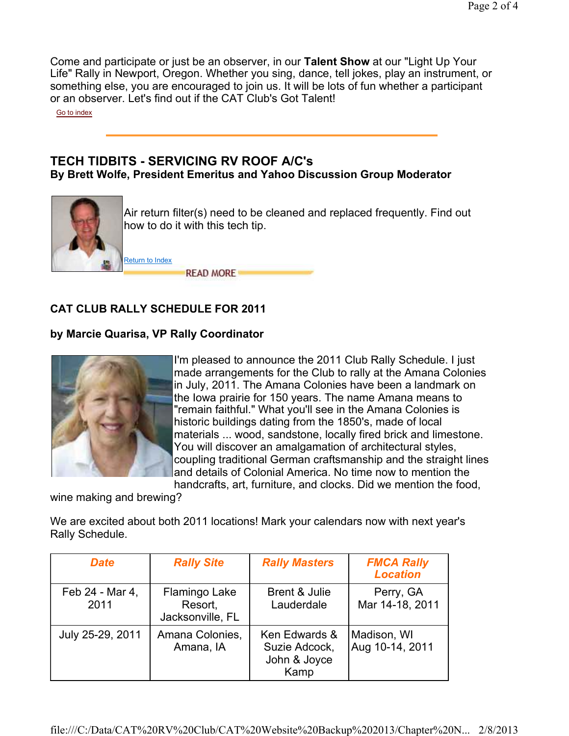Come and participate or just be an observer, in our **Talent Show** at our "Light Up Your Life" Rally in Newport, Oregon. Whether you sing, dance, tell jokes, play an instrument, or something else, you are encouraged to join us. It will be lots of fun whether a participant or an observer. Let's find out if the CAT Club's Got Talent!

Go to index

## **TECH TIDBITS - SERVICING RV ROOF A/C's By Brett Wolfe, President Emeritus and Yahoo Discussion Group Moderator**



Air return filter(s) need to be cleaned and replaced frequently. Find out how to do it with this tech tip.

**READ MORE** 

# **CAT CLUB RALLY SCHEDULE FOR 2011**

## **by Marcie Quarisa, VP Rally Coordinator**



I'm pleased to announce the 2011 Club Rally Schedule. I just made arrangements for the Club to rally at the Amana Colonies in July, 2011. The Amana Colonies have been a landmark on the Iowa prairie for 150 years. The name Amana means to "remain faithful." What you'll see in the Amana Colonies is historic buildings dating from the 1850's, made of local materials ... wood, sandstone, locally fired brick and limestone. You will discover an amalgamation of architectural styles, coupling traditional German craftsmanship and the straight lines and details of Colonial America. No time now to mention the handcrafts, art, furniture, and clocks. Did we mention the food,

wine making and brewing?

We are excited about both 2011 locations! Mark your calendars now with next year's Rally Schedule.

| <b>Date</b>             | <b>Rally Site</b>                            | <b>Rally Masters</b>                                   | <b>FMCA Rally</b><br><b>Location</b> |
|-------------------------|----------------------------------------------|--------------------------------------------------------|--------------------------------------|
| Feb 24 - Mar 4,<br>2011 | Flamingo Lake<br>Resort,<br>Jacksonville, FL | Brent & Julie<br>Lauderdale                            | Perry, GA<br>Mar 14-18, 2011         |
| July 25-29, 2011        | Amana Colonies,<br>Amana, IA                 | Ken Edwards &<br>Suzie Adcock,<br>John & Joyce<br>Kamp | Madison, WI<br>Aug 10-14, 2011       |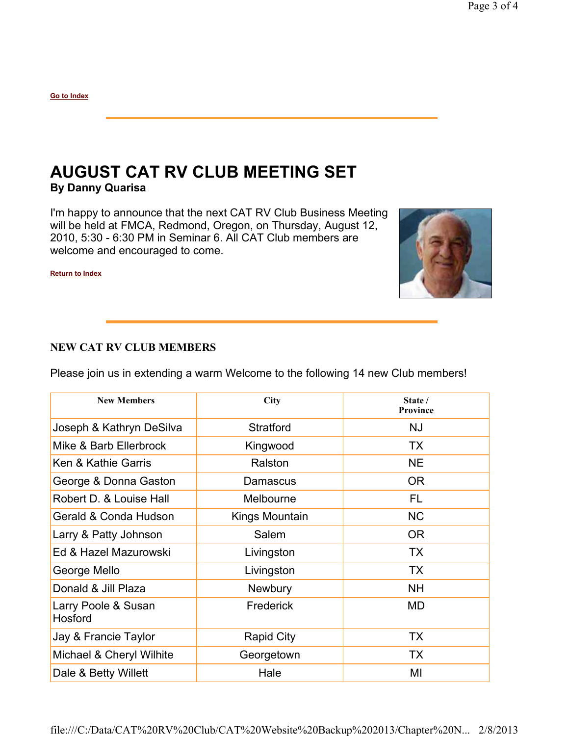**Go to Index**

# **AUGUST CAT RV CLUB MEETING SET By Danny Quarisa**

I'm happy to announce that the next CAT RV Club Business Meeting will be held at FMCA, Redmond, Oregon, on Thursday, August 12, 2010, 5:30 - 6:30 PM in Seminar 6. All CAT Club members are welcome and encouraged to come.



**Return to Index**

### **NEW CAT RV CLUB MEMBERS**

Please join us in extending a warm Welcome to the following 14 new Club members!

| <b>New Members</b>             | City              | State /<br><b>Province</b> |
|--------------------------------|-------------------|----------------------------|
| Joseph & Kathryn DeSilva       | <b>Stratford</b>  | NJ                         |
| Mike & Barb Ellerbrock         | Kingwood          | <b>TX</b>                  |
| Ken & Kathie Garris            | Ralston           | <b>NE</b>                  |
| George & Donna Gaston          | Damascus          | <b>OR</b>                  |
| Robert D. & Louise Hall        | Melbourne         | FL                         |
| Gerald & Conda Hudson          | Kings Mountain    | <b>NC</b>                  |
| Larry & Patty Johnson          | Salem             | 0R                         |
| Ed & Hazel Mazurowski          | Livingston        | <b>TX</b>                  |
| George Mello                   | Livingston        | <b>TX</b>                  |
| Donald & Jill Plaza            | <b>Newbury</b>    | <b>NH</b>                  |
| Larry Poole & Susan<br>Hosford | Frederick         | MD                         |
| Jay & Francie Taylor           | <b>Rapid City</b> | TX                         |
| Michael & Cheryl Wilhite       | Georgetown        | TX                         |
| Dale & Betty Willett           | Hale              | MI                         |